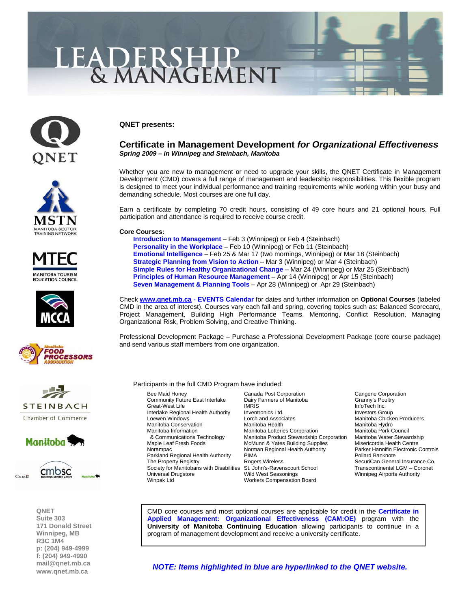# LEADERSHIP<br>& MANAGEMENT

















**QNET Suite 303 171 Donald Street Winnipeg, MB R3C 1M4 p: (204) 949-4999 f: (204) 949-4990 [mail@qnet.mb.ca](mailto:mail@qnet.mb.ca)  [www.qnet.mb.ca](http://www.qnet.mb.ca)** 

### **QNET presents:**

## **Certificate in Management Development** *for Organizational Effectiveness Spring 2009 – in Winnipeg and Steinbach, Manitoba*

Whether you are new to management or need to upgrade your skills, the QNET Certificate in Management Development (CMD) covers a full range of management and leadership responsibilities. This flexible program is designed to meet your individual performance and training requirements while working within your busy and demanding schedule. Most courses are one full day.

Earn a certificate by completing 70 credit hours, consisting of 49 core hours and 21 optional hours. Full participation and attendance is required to receive course credit.

#### **Core Courses:**

 **[Introduction to Management](http://www.qnet.mb.ca/events2006/0%2009%20Spring%20-%20Introduction%20to%20Management.pdf)** – Feb 3 (Winnipeg) or Feb 4 (Steinbach) **[Personality in the Workplace](http://www.qnet.mb.ca/events2006/0%2009%20Spring%20-%20Personality%20in%20the%20Workplace%20-%20Heather.pdf)** – Feb 10 (Winnipeg) or Feb 11 (Steinbach) **[Emotional Intelligence](http://www.qnet.mb.ca/events2006/0%2009%20Spring%20-%20Emotional%20Intelligence.pdf)** – Feb 25 & Mar 17 (two mornings, Winnipeg) or Mar 18 (Steinbach) **[Strategic Planning from Vision to Action](http://www.qnet.mb.ca/events2006/0%2009%20Spring%20-%20Strategic%20Planning.pdf)** – Mar 3 (Winnipeg) or Mar 4 (Steinbach) **[Simple Rules for Healthy Organizational Change](http://www.qnet.mb.ca/events2006/0%2009%20Spring%20-%20Simple%20Rules.pdf)** – Mar 24 (Winnipeg) or Mar 25 (Steinbach) **[Principles of Human Resource Management](http://www.qnet.mb.ca/events2006/0%2009%20Spring%20-%20Principles%20of%20HR.pdf)** – Apr 14 (Winnipeg) or Apr 15 (Steinbach) **[Seven Management & Planning Tools](http://www.qnet.mb.ca/events2006/0%2009%20Spring%20-%20Seven%20Tools.pdf)** – Apr 28 (Winnipeg) or Apr 29 (Steinbach)

Check **[www.qnet.mb.ca -](http://www.qnet.mb.ca) [EVENTS Calendar](http://www.qnet.mb.ca/events2006/events.htm)** for dates and further information on **Optional Courses** (labeled CMD in the area of interest). Courses vary each fall and spring, covering topics such as: Balanced Scorecard, Project Management, Building High Performance Teams, Mentoring, Conflict Resolution, Managing Organizational Risk, Problem Solving, and Creative Thinking.

Professional Development Package – Purchase a Professional Development Package (core course package) and send various staff members from one organization.

#### Participants in the full CMD Program have included:

Bee Maid Honey **Canada Post Corporation**<br>
Community Future East Interlake Dairy Farmers of Manitoba Cranny's Poultry Community Future East Interlake Dairy F<br>Great-West Life Many S Manitoba Conservation<br>Manitoba Information Society for Manitobans with Disabilities St. John's-Ravenscourt School Transcontinental LGM – Coronet Universal Drugstore **Mild West Seasonings** Winnipeg Airports Authority<br>Winpak Ltd Winnipeg Alter Workers Compensation Board

Great-West Life **IMRIS** IMRIS **InfoTech Inc.** Interlake Regional Health Authority Inventronics Ltd. Investors Group<br>I orch and Associates Investors Manitoba Chicke Loewen Windows **Lorch and Associates** Manitoba Chicken Producers<br>Manitoba Conservation Manitoba Health Manitoba Manitoba Hydro Manitoba Information **Manitoba Conformation** Manitoba Lotteries Corporation Manitoba Pork Council<br>B Communications Technology Manitoba Product Stewardship Corporation Manitoba Water Stewa & Communications Technology Manitoba Product Stewardship Corporation Manitoba Water Stewardship McMunn & Yates Building Supplies Norampac Norman Regional Health Authority Parker Hannifin Electronic Controls Parkland Regional Health Authority PIMA Pullard Banknote<br>
Pollard Banknote<br>
Pollard Banknote Rogers Wireless<br>
Pollard Banknote Rogers Wireless The Property Wireless SecuriCan General Insurance Co.<br>
St. John's-Ravenscourt School Transcontinental LGM – Coronet Workers Compensation Board

CMD core courses and most optional courses are applicable for credit in the **[Certificate in](http://www.qnet.mb.ca/events2003/events_cert%20in%20applied%20mgmt.htm)  [Applied Management: Organizational Effectiveness \(CAM:OE\)](http://www.qnet.mb.ca/events2003/events_cert%20in%20applied%20mgmt.htm)** program with the **University of Manitoba Continuing Education** allowing participants to continue in a program of management development and receive a university certificate.

*[NOTE: Items highlighted in blue are hyperlinked to the QNET website.](http://www.qnet.mb.ca/)*